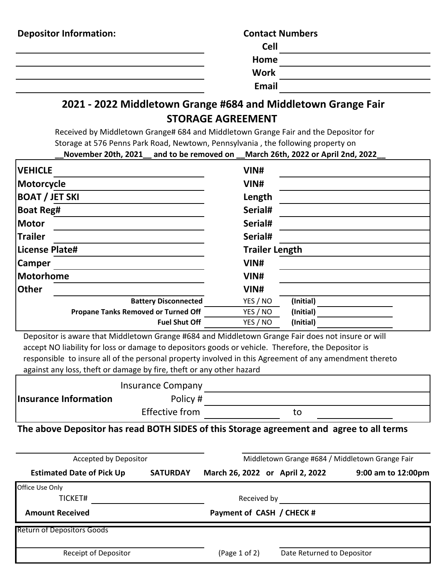| <b>Depositor Information:</b> | <b>Contact Numbers</b> |  |
|-------------------------------|------------------------|--|
|                               | <b>Cell</b>            |  |
|                               | Home                   |  |
|                               | <b>Work</b>            |  |
|                               | Email                  |  |

## **2021 - 2022 Middletown Grange #684 and Middletown Grange Fair STORAGE AGREEMENT**

Received by Middletown Grange# 684 and Middletown Grange Fair and the Depositor for Storage at 576 Penns Park Road, Newtown, Pennsylvania , the following property on **\_\_November 20th, 2021\_\_ and to be removed on \_\_March 26th, 2022 or April 2nd, 2022\_\_**

| <b>VEHICLE</b>                             | VIN#                  |  |  |
|--------------------------------------------|-----------------------|--|--|
| Motorcycle                                 | VIN#                  |  |  |
| <b>BOAT / JET SKI</b>                      | Length                |  |  |
| Boat Reg#                                  | Serial#               |  |  |
| Motor                                      | Serial#<br>Serial#    |  |  |
| <b>Trailer</b>                             |                       |  |  |
| License Plate#                             | <b>Trailer Length</b> |  |  |
| <b>Camper</b>                              | VIN#                  |  |  |
| Motorhome                                  | VIN#                  |  |  |
| <b>Other</b>                               | VIN#                  |  |  |
| <b>Battery Disconnected</b>                | (Initial)<br>YES / NO |  |  |
| <b>Propane Tanks Removed or Turned Off</b> | YES / NO<br>(Initial) |  |  |
| <b>Fuel Shut Off</b>                       | YES / NO<br>(Initial) |  |  |

 Depositor is aware that Middletown Grange #684 and Middletown Grange Fair does not insure or will accept NO liability for loss or damage to depositors goods or vehicle. Therefore, the Depositor is responsible to insure all of the personal property involved in this Agreement of any amendment thereto against any loss, theft or damage by fire, theft or any other hazard

|                       | <b>Insurance Company</b> |  |
|-----------------------|--------------------------|--|
| Insurance Information | Policy #                 |  |
|                       | Effective from           |  |

**The above Depositor has read BOTH SIDES of this Storage agreement and agree to all terms**

| Accepted by Depositor             |                           | Middletown Grange #684 / Middletown Grange Fair |                            |                    |
|-----------------------------------|---------------------------|-------------------------------------------------|----------------------------|--------------------|
| <b>Estimated Date of Pick Up</b>  | <b>SATURDAY</b>           | March 26, 2022 or April 2, 2022                 |                            | 9:00 am to 12:00pm |
| Office Use Only                   |                           |                                                 |                            |                    |
| TICKET#                           |                           | Received by                                     |                            |                    |
| <b>Amount Received</b>            | Payment of CASH / CHECK # |                                                 |                            |                    |
| <b>Return of Depositors Goods</b> |                           |                                                 |                            |                    |
| Receipt of Depositor              |                           | (Page 1 of 2)                                   | Date Returned to Depositor |                    |